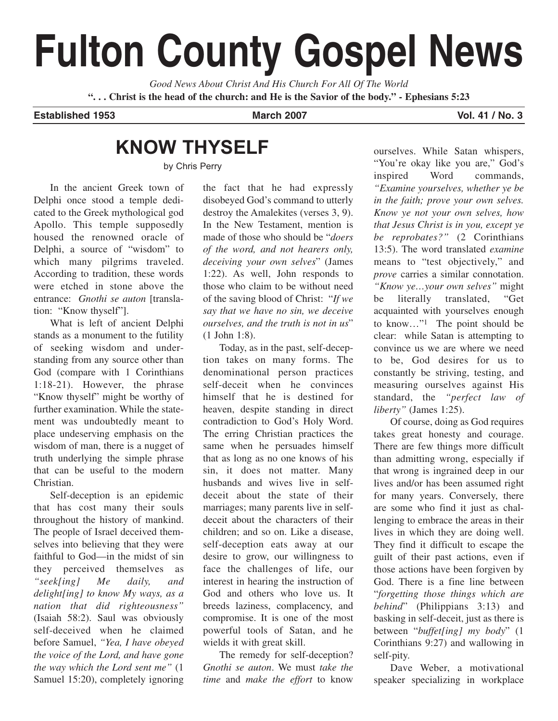# **Fulton County Gospel News**

*Good News About Christ And His Church For All Of The World* **". . . Christ is the head of the church: and He is the Savior of the body." - Ephesians 5:23**

**Established 1953 March 2007 Vol. 41 / No. 3**

## **KNOW THYSELF**

by Chris Perry

In the ancient Greek town of Delphi once stood a temple dedicated to the Greek mythological god Apollo. This temple supposedly housed the renowned oracle of Delphi, a source of "wisdom" to which many pilgrims traveled. According to tradition, these words were etched in stone above the entrance: *Gnothi se auton* [translation: "Know thyself"].

What is left of ancient Delphi stands as a monument to the futility of seeking wisdom and understanding from any source other than God (compare with 1 Corinthians 1:18-21). However, the phrase "Know thyself" might be worthy of further examination. While the statement was undoubtedly meant to place undeserving emphasis on the wisdom of man, there is a nugget of truth underlying the simple phrase that can be useful to the modern Christian.

Self-deception is an epidemic that has cost many their souls throughout the history of mankind. The people of Israel deceived themselves into believing that they were faithful to God—in the midst of sin they perceived themselves as *"seek[ing] Me daily, and delight[ing] to know My ways, as a nation that did righteousness"* (Isaiah 58:2). Saul was obviously self-deceived when he claimed before Samuel, *"Yea, I have obeyed the voice of the Lord, and have gone the way which the Lord sent me"* (1 Samuel 15:20), completely ignoring

the fact that he had expressly disobeyed God's command to utterly destroy the Amalekites (verses 3, 9). In the New Testament, mention is made of those who should be "*doers of the word, and not hearers only, deceiving your own selves*" (James 1:22). As well, John responds to those who claim to be without need of the saving blood of Christ: "*If we say that we have no sin, we deceive ourselves, and the truth is not in us*" (1 John 1:8).

Today, as in the past, self-deception takes on many forms. The denominational person practices self-deceit when he convinces himself that he is destined for heaven, despite standing in direct contradiction to God's Holy Word. The erring Christian practices the same when he persuades himself that as long as no one knows of his sin, it does not matter. Many husbands and wives live in selfdeceit about the state of their marriages; many parents live in selfdeceit about the characters of their children; and so on. Like a disease, self-deception eats away at our desire to grow, our willingness to face the challenges of life, our interest in hearing the instruction of God and others who love us. It breeds laziness, complacency, and compromise. It is one of the most powerful tools of Satan, and he wields it with great skill.

The remedy for self-deception? *Gnothi se auton*. We must *take the time* and *make the effort* to know

ourselves. While Satan whispers, "You're okay like you are," God's inspired Word commands, *"Examine yourselves, whether ye be in the faith; prove your own selves. Know ye not your own selves, how that Jesus Christ is in you, except ye be reprobates?"* (2 Corinthians 13:5). The word translated *examine* means to "test objectively," and *prove* carries a similar connotation. *"Know ye…your own selves"* might be literally translated, "Get acquainted with yourselves enough to know…"1 The point should be clear: while Satan is attempting to convince us we are where we need to be, God desires for us to constantly be striving, testing, and measuring ourselves against His standard, the *"perfect law of liberty"* (James 1:25).

Of course, doing as God requires takes great honesty and courage. There are few things more difficult than admitting wrong, especially if that wrong is ingrained deep in our lives and/or has been assumed right for many years. Conversely, there are some who find it just as challenging to embrace the areas in their lives in which they are doing well. They find it difficult to escape the guilt of their past actions, even if those actions have been forgiven by God. There is a fine line between "*forgetting those things which are behind*" (Philippians 3:13) and basking in self-deceit, just as there is between "*buffet[ing] my body*" (1 Corinthians 9:27) and wallowing in self-pity.

Dave Weber, a motivational speaker specializing in workplace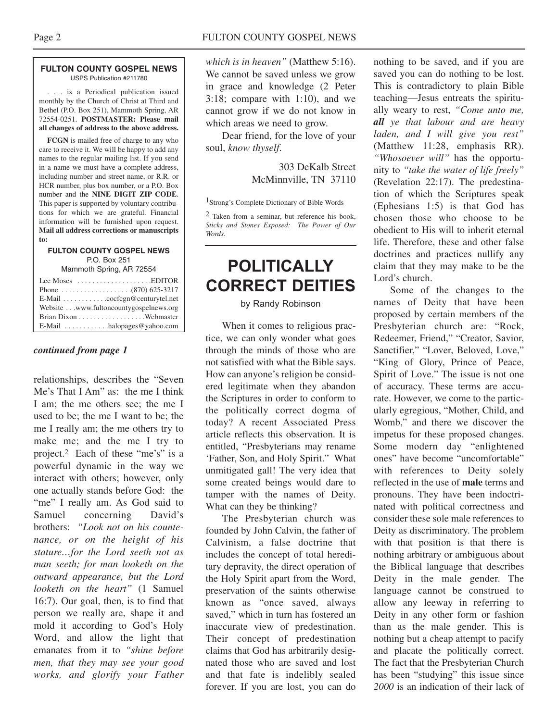#### **FULTON COUNTY GOSPEL NEWS** USPS Publication #211780

. . . is a Periodical publication issued monthly by the Church of Christ at Third and Bethel (P.O. Box 251), Mammoth Spring, AR 72554-0251. **POSTMASTER: Please mail all changes of address to the above address.**

**FCGN** is mailed free of charge to any who care to receive it. We will be happy to add any names to the regular mailing list. If you send in a name we must have a complete address, including number and street name, or R.R. or HCR number, plus box number, or a P.O. Box number and the **NINE DIGIT ZIP CODE**. This paper is supported by voluntary contributions for which we are grateful. Financial information will be furnished upon request. **Mail all address corrections or manuscripts to:**

#### **FULTON COUNTY GOSPEL NEWS** P.O. Box 251

Mammoth Spring, AR 72554

| Lee Moses $\dots\dots\dots\dots\dots\dots$ . EDITOR    |
|--------------------------------------------------------|
|                                                        |
| E-Mail cocfcgn@centurytel.net                          |
| Website www.fultoncountygospelnews.org                 |
|                                                        |
| $E$ -Mail $\ldots \ldots \ldots$ halopages @ yahoo.com |

#### *continued from page 1*

relationships, describes the "Seven Me's That I Am" as: the me I think I am; the me others see; the me I used to be; the me I want to be; the me I really am; the me others try to make me; and the me I try to project.2 Each of these "me's" is a powerful dynamic in the way we interact with others; however, only one actually stands before God: the "me" I really am. As God said to Samuel concerning David's brothers: *"Look not on his countenance, or on the height of his stature…for the Lord seeth not as man seeth; for man looketh on the outward appearance, but the Lord looketh on the heart"* (1 Samuel 16:7). Our goal, then, is to find that person we really are, shape it and mold it according to God's Holy Word, and allow the light that emanates from it to *"shine before men, that they may see your good works, and glorify your Father* *which is in heaven"* (Matthew 5:16). We cannot be saved unless we grow in grace and knowledge (2 Peter 3:18; compare with 1:10), and we cannot grow if we do not know in which areas we need to grow.

Dear friend, for the love of your soul, *know thyself*.

> 303 DeKalb Street McMinnville, TN 37110

1Strong's Complete Dictionary of Bible Words

 $2$  Taken from a seminar, but reference his book, *Sticks and Stones Exposed: The Power of Our Words*.

## **POLITICALLY CORRECT DEITIES**

#### by Randy Robinson

When it comes to religious practice, we can only wonder what goes through the minds of those who are not satisfied with what the Bible says. How can anyone's religion be considered legitimate when they abandon the Scriptures in order to conform to the politically correct dogma of today? A recent Associated Press article reflects this observation. It is entitled, "Presbyterians may rename 'Father, Son, and Holy Spirit." What unmitigated gall! The very idea that some created beings would dare to tamper with the names of Deity. What can they be thinking?

The Presbyterian church was founded by John Calvin, the father of Calvinism, a false doctrine that includes the concept of total hereditary depravity, the direct operation of the Holy Spirit apart from the Word, preservation of the saints otherwise known as "once saved, always saved," which in turn has fostered an inaccurate view of predestination. Their concept of predestination claims that God has arbitrarily designated those who are saved and lost and that fate is indelibly sealed forever. If you are lost, you can do

nothing to be saved, and if you are saved you can do nothing to be lost. This is contradictory to plain Bible teaching—Jesus entreats the spiritually weary to rest, *"Come unto me, all ye that labour and are heavy laden, and I will give you rest"* (Matthew 11:28, emphasis RR). *"Whosoever will"* has the opportunity to *"take the water of life freely"* (Revelation 22:17). The predestination of which the Scriptures speak (Ephesians 1:5) is that God has chosen those who choose to be obedient to His will to inherit eternal life. Therefore, these and other false doctrines and practices nullify any claim that they may make to be the Lord's church.

Some of the changes to the names of Deity that have been proposed by certain members of the Presbyterian church are: "Rock, Redeemer, Friend," "Creator, Savior, Sanctifier," "Lover, Beloved, Love," "King of Glory, Prince of Peace, Spirit of Love." The issue is not one of accuracy. These terms are accurate. However, we come to the particularly egregious, "Mother, Child, and Womb," and there we discover the impetus for these proposed changes. Some modern day "enlightened ones" have become "uncomfortable" with references to Deity solely reflected in the use of **male** terms and pronouns. They have been indoctrinated with political correctness and consider these sole male references to Deity as discriminatory. The problem with that position is that there is nothing arbitrary or ambiguous about the Biblical language that describes Deity in the male gender. The language cannot be construed to allow any leeway in referring to Deity in any other form or fashion than as the male gender. This is nothing but a cheap attempt to pacify and placate the politically correct. The fact that the Presbyterian Church has been "studying" this issue since *2000* is an indication of their lack of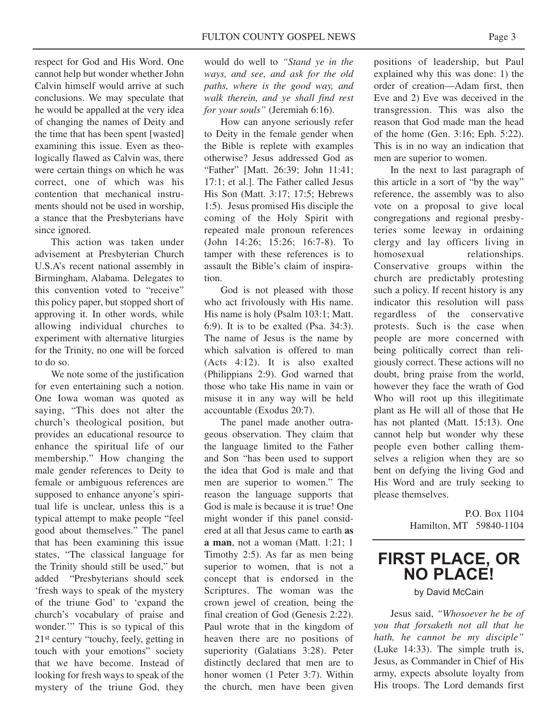respect for God and His Word. One cannot help but wonder whether John Calvin himself would arrive at such conclusions. We may speculate that he would be appalled at the very idea of changing the names of Deity and the time that has been spent [wasted] examining this issue. Even as theologically flawed as Calvin was, there were certain things on which he was correct, one of which was his contention that mechanical instruments should not be used in worship, a stance that the Presbyterians have since ignored.

This action was taken under advisement at Presbyterian Church U.S.A's recent national assembly in Birmingham, Alabama. Delegates to this convention voted to "receive" this policy paper, but stopped short of approving it. In other words, while allowing individual churches to experiment with alternative liturgies for the Trinity, no one will be forced to do so.

We note some of the justification for even entertaining such a notion. One Iowa woman was quoted as saying, "This does not alter the church's theological position, but provides an educational resource to enhance the spiritual life of our membership." How changing the male gender references to Deity to female or ambiguous references are supposed to enhance anyone's spiritual life is unclear, unless this is a typical attempt to make people "feel good about themselves." The panel that has been examining this issue states, "The classical language for the Trinity should still be used," but added "Presbyterians should seek 'fresh ways to speak of the mystery of the triune God' to 'expand the church's vocabulary of praise and wonder.'" This is so typical of this 21st century "touchy, feely, getting in touch with your emotions" society that we have become. Instead of looking for fresh ways to speak of the mystery of the triune God, they

would do well to *"Stand ye in the ways, and see, and ask for the old paths, where is the good way, and walk therein, and ye shall find rest for your souls"* (Jeremiah 6:16).

How can anyone seriously refer to Deity in the female gender when the Bible is replete with examples otherwise? Jesus addressed God as "Father" [Matt. 26:39; John 11:41; 17:1; et al.]. The Father called Jesus His Son (Matt. 3:17; 17:5; Hebrews 1:5). Jesus promised His disciple the coming of the Holy Spirit with repeated male pronoun references (John 14:26; 15:26; 16:7-8). To tamper with these references is to assault the Bible's claim of inspiration.

God is not pleased with those who act frivolously with His name. His name is holy (Psalm 103:1; Matt. 6:9). It is to be exalted (Psa. 34:3). The name of Jesus is the name by which salvation is offered to man (Acts 4:12). It is also exalted (Philippians 2:9). God warned that those who take His name in vain or misuse it in any way will be held accountable (Exodus 20:7).

The panel made another outrageous observation. They claim that the language limited to the Father and Son "has been used to support the idea that God is male and that men are superior to women." The reason the language supports that God is male is because it is true! One might wonder if this panel considered at all that Jesus came to earth **as a man**, not a woman (Matt. 1:21; 1 Timothy 2:5). As far as men being superior to women, that is not a concept that is endorsed in the Scriptures. The woman was the crown jewel of creation, being the final creation of God (Genesis 2:22). Paul wrote that in the kingdom of heaven there are no positions of superiority (Galatians 3:28). Peter distinctly declared that men are to honor women (1 Peter 3:7). Within the church, men have been given positions of leadership, but Paul explained why this was done: 1) the order of creation—Adam first, then Eve and 2) Eve was deceived in the transgression. This was also the reason that God made man the head of the home (Gen. 3:16; Eph. 5:22). This is in no way an indication that men are superior to women.

In the next to last paragraph of this article in a sort of "by the way" reference, the assembly was to also vote on a proposal to give local congregations and regional presbyteries some leeway in ordaining clergy and lay officers living in homosexual relationships. Conservative groups within the church are predictably protesting such a policy. If recent history is any indicator this resolution will pass regardless of the conservative protests. Such is the case when people are more concerned with being politically correct than religiously correct. These actions will no doubt, bring praise from the world, however they face the wrath of God Who will root up this illegitimate plant as He will all of those that He has not planted (Matt. 15:13). One cannot help but wonder why these people even bother calling themselves a religion when they are so bent on defying the living God and His Word and are truly seeking to please themselves.

> P.O. Box 1104 Hamilton, MT 59840-1104

### **FIRST PLACE, OR NO PLACE!**

by David McCain

Jesus said, *"Whosoever he be of you that forsaketh not all that he hath, he cannot be my disciple"* (Luke 14:33). The simple truth is, Jesus, as Commander in Chief of His army, expects absolute loyalty from His troops. The Lord demands first